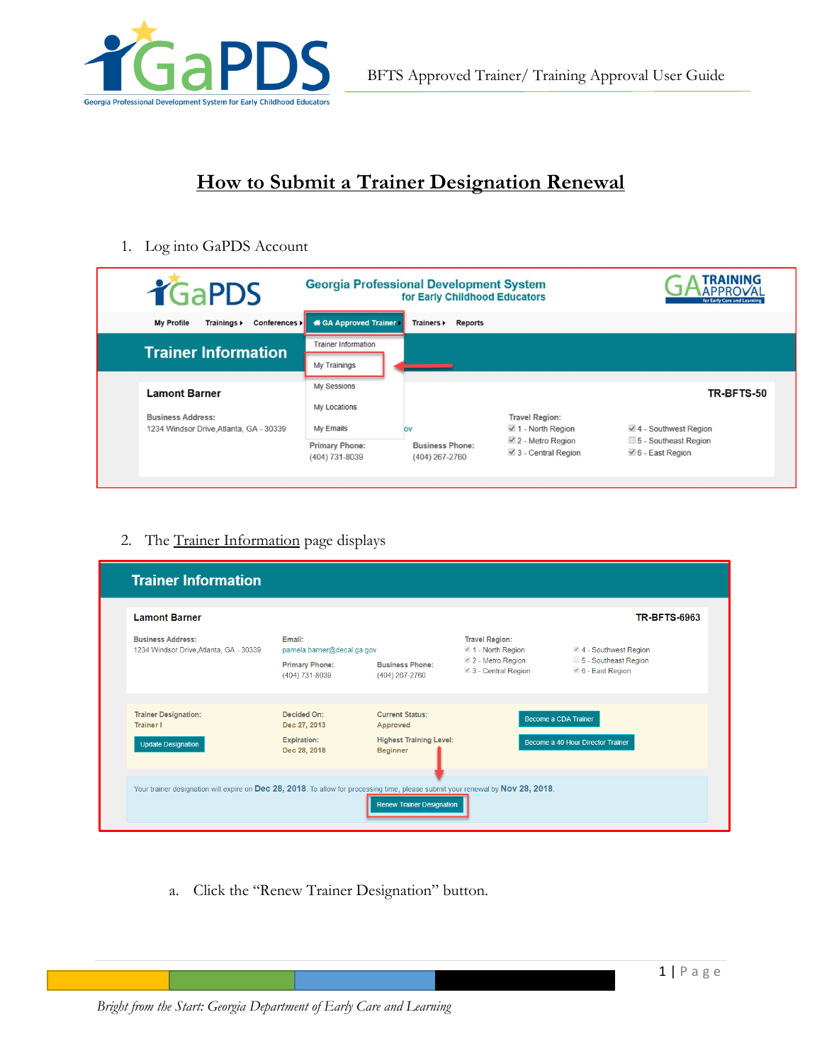

# **How to Submit a Trainer Designation Renewal**

1. Log into GaPDS Account

| <b>TGaPDS</b>                                                  | <b>Georgia Professional Development System</b> | for Early Childhood Educators            |                                                      | TRAINING<br>for Early Care and Learning              |
|----------------------------------------------------------------|------------------------------------------------|------------------------------------------|------------------------------------------------------|------------------------------------------------------|
| Conferences ><br>My Profile<br>Trainings $\blacktriangleright$ | <b>ff</b> GA Approved Trainer                  | Trainers ><br>Reports                    |                                                      |                                                      |
| <b>Trainer Information</b>                                     | <b>Trainer Information</b>                     |                                          |                                                      |                                                      |
|                                                                | My Trainings                                   |                                          |                                                      |                                                      |
| <b>Lamont Barner</b>                                           | My Sessions                                    |                                          |                                                      | TR-BFTS-50                                           |
| <b>Business Address:</b>                                       | My Locations                                   |                                          | <b>Travel Region:</b>                                |                                                      |
| 1234 Windsor Drive, Atlanta, GA - 30339                        | My Emails                                      | <b>OV</b>                                | $\vee$ 1 - North Region                              | $4 -$ Southwest Region                               |
|                                                                | Primary Phone:<br>(404) 731-8039               | <b>Business Phone:</b><br>(404) 267-2760 | $\vee$ 2 - Metro Region<br>$\vee$ 3 - Central Region | 5 - Southeast Region<br>$\checkmark$ 6 - East Region |

## 2. The Trainer Information page displays

| <b>Lamont Barner</b>                                                |                                                                                 |                                                   |                                                                                                    | <b>TR-BFTS-6963</b>                                             |
|---------------------------------------------------------------------|---------------------------------------------------------------------------------|---------------------------------------------------|----------------------------------------------------------------------------------------------------|-----------------------------------------------------------------|
| <b>Business Address:</b><br>1234 Windsor Drive, Atlanta, GA - 30339 | Email:<br>pamela.barner@decal.ga.gov<br><b>Primary Phone:</b><br>(404) 731-8039 | <b>Business Phone:</b><br>(404) 267-2760          | <b>Travel Region:</b><br>$\blacksquare$ 1 - North Region<br>2 - Metro Region<br>3 - Central Region | 4 - Southwest Region<br>5 - Southeast Region<br>6 - East Region |
| <b>Trainer Designation:</b><br><b>Trainer I</b>                     | <b>Decided On:</b><br>Dec 27, 2013                                              | <b>Current Status:</b><br>Approved                |                                                                                                    | Become a CDA Trainer                                            |
| <b>Update Designation</b>                                           | <b>Expiration:</b><br>Dec 28, 2018                                              | <b>Highest Training Level:</b><br><b>Beginner</b> |                                                                                                    | Become a 40 Hour Director Trainer                               |

a. Click the "Renew Trainer Designation" button.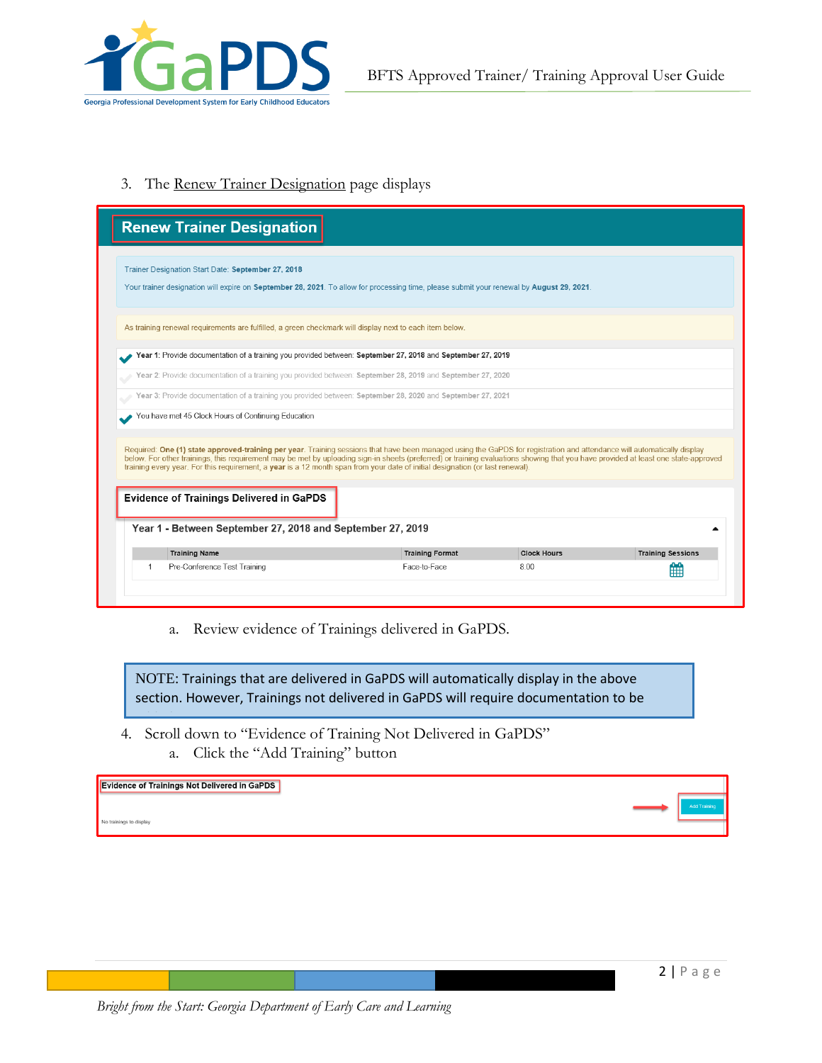

3. The Renew Trainer Designation page displays

|                                                                                                                                          | <b>Renew Trainer Designation</b>                                                                                                                                                                                                                                                                                                                                                                                                                                                                                                                                                                                |                        |                    |                          |  |  |
|------------------------------------------------------------------------------------------------------------------------------------------|-----------------------------------------------------------------------------------------------------------------------------------------------------------------------------------------------------------------------------------------------------------------------------------------------------------------------------------------------------------------------------------------------------------------------------------------------------------------------------------------------------------------------------------------------------------------------------------------------------------------|------------------------|--------------------|--------------------------|--|--|
|                                                                                                                                          | Trainer Designation Start Date: September 27, 2018                                                                                                                                                                                                                                                                                                                                                                                                                                                                                                                                                              |                        |                    |                          |  |  |
| Your trainer designation will expire on September 28, 2021. To allow for processing time, please submit your renewal by August 29, 2021. |                                                                                                                                                                                                                                                                                                                                                                                                                                                                                                                                                                                                                 |                        |                    |                          |  |  |
| As training renewal requirements are fulfilled, a green checkmark will display next to each item below.                                  |                                                                                                                                                                                                                                                                                                                                                                                                                                                                                                                                                                                                                 |                        |                    |                          |  |  |
| Year 1: Provide documentation of a training you provided between: September 27, 2018 and September 27, 2019                              |                                                                                                                                                                                                                                                                                                                                                                                                                                                                                                                                                                                                                 |                        |                    |                          |  |  |
|                                                                                                                                          | Year 2: Provide documentation of a training you provided between: September 28, 2019 and September 27, 2020                                                                                                                                                                                                                                                                                                                                                                                                                                                                                                     |                        |                    |                          |  |  |
|                                                                                                                                          | Year 3: Provide documentation of a training you provided between: September 28, 2020 and September 27, 2021                                                                                                                                                                                                                                                                                                                                                                                                                                                                                                     |                        |                    |                          |  |  |
|                                                                                                                                          |                                                                                                                                                                                                                                                                                                                                                                                                                                                                                                                                                                                                                 |                        |                    |                          |  |  |
|                                                                                                                                          | Required: One (1) state approved-training per year. Training sessions that have been managed using the GaPDS for registration and attendance will automatically display<br>below. For other trainings, this requirement may be met by uploading sign-in sheets (preferred) or training evaluations showing that you have provided at least one state-approved<br>training every year. For this requirement, a year is a 12 month span from your date of initial designation (or last renewal).<br><b>Evidence of Trainings Delivered in GaPDS</b><br>Year 1 - Between September 27, 2018 and September 27, 2019 |                        |                    |                          |  |  |
|                                                                                                                                          | <b>Training Name</b>                                                                                                                                                                                                                                                                                                                                                                                                                                                                                                                                                                                            | <b>Training Format</b> | <b>Clock Hours</b> | <b>Training Sessions</b> |  |  |

a. Review evidence of Trainings delivered in GaPDS.

NOTE: Trainings that are delivered in GaPDS will automatically display in the above section. However, Trainings not delivered in GaPDS will require documentation to be

4. Scroll down to "Evidence of Training Not Delivered in GaPDS" a. Click the "Add Training" button added.

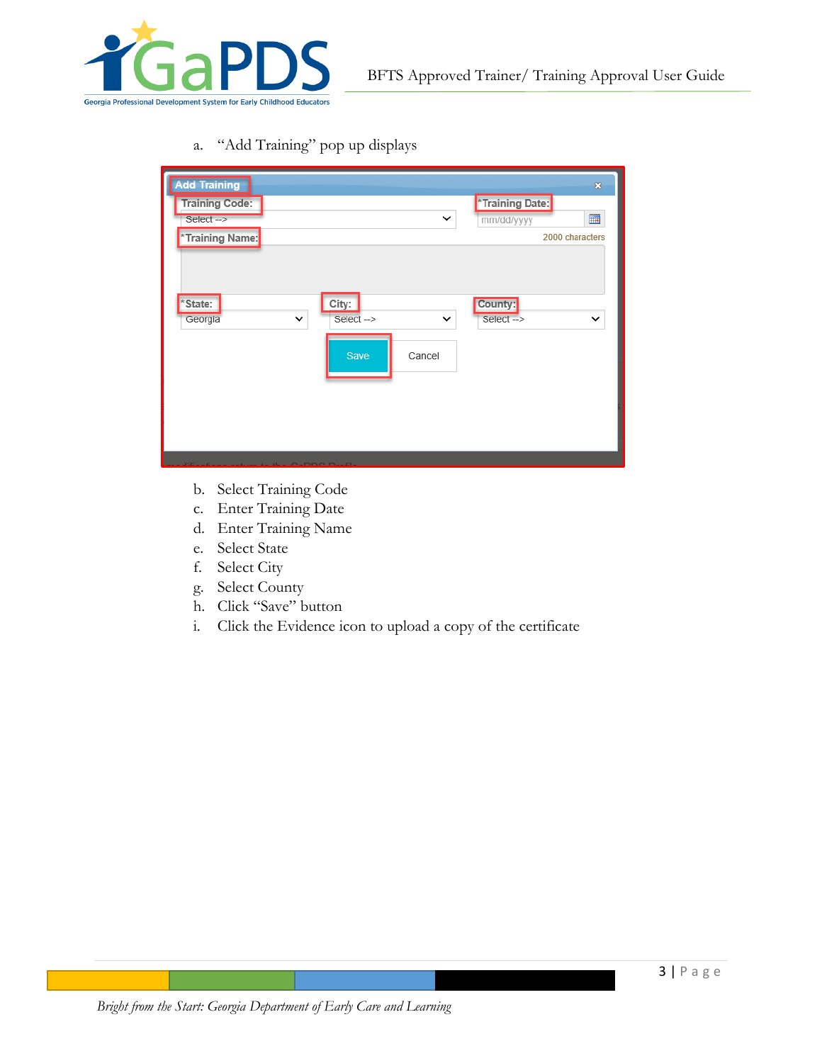

a. "Add Training" pop up displays

| *Training Date:<br><b>Training Code:</b><br><b>III</b><br>Select-><br>✓<br>mm/dd/yyyy<br>*Training Name: | <b>Add Training</b> |       | $\pmb{\mathbb{S}}$ |
|----------------------------------------------------------------------------------------------------------|---------------------|-------|--------------------|
|                                                                                                          |                     |       | 2000 characters    |
| $\checkmark$<br>Select-><br>$\checkmark$<br>Select-><br>Georgia<br>$\checkmark$<br>Save<br>Cancel        | *State:             | City: | County:            |
|                                                                                                          |                     |       |                    |

- b. Select Training Code
- c. Enter Training Date
- d. Enter Training Name
- e. Select State
- f. Select City
- g. Select County
- h. Click "Save" button
- i. Click the Evidence icon to upload a copy of the certificate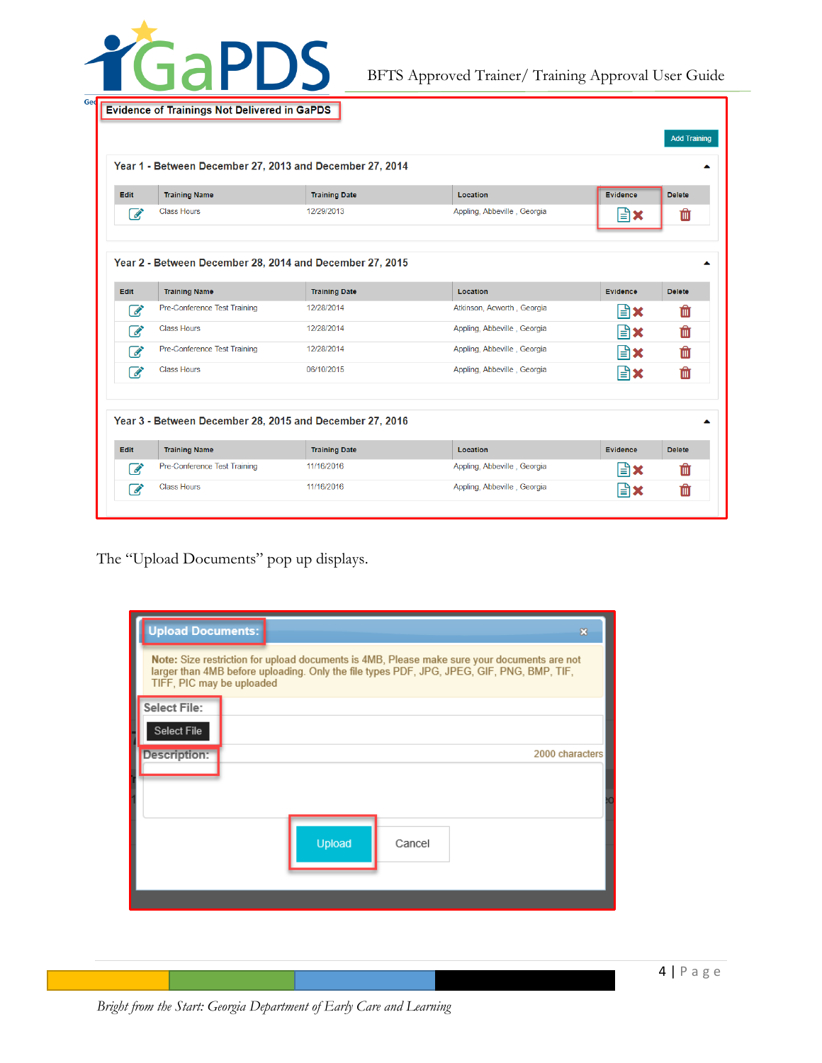

BFTS Approved Trainer/ Training Approval User Guide

|                                                          |                                                          |                      |                             |                 | <b>Add Training</b> |  |
|----------------------------------------------------------|----------------------------------------------------------|----------------------|-----------------------------|-----------------|---------------------|--|
|                                                          | Year 1 - Between December 27, 2013 and December 27, 2014 |                      |                             |                 |                     |  |
| <b>Edit</b>                                              | <b>Training Name</b>                                     | <b>Training Date</b> | Location                    | <b>Evidence</b> | <b>Delete</b>       |  |
| $\overrightarrow{a}$                                     | <b>Class Hours</b>                                       | 12/29/2013           | Appling, Abbeville, Georgia | lari            | 勔                   |  |
| Year 2 - Between December 28, 2014 and December 27, 2015 |                                                          |                      |                             |                 |                     |  |
| <b>Edit</b>                                              | <b>Training Name</b>                                     | <b>Training Date</b> | Location                    | Evidence        | <b>Delete</b>       |  |
| $\mathscr{L}$                                            | Pre-Conference Test Training                             | 12/28/2014           | Atkinson, Acworth, Georgia  | I≞∖×            | 血                   |  |
| $\mathscr{L}$                                            | <b>Class Hours</b>                                       | 12/28/2014           | Appling, Abbeville, Georgia | lari            | û                   |  |
| $\overrightarrow{a}$                                     | Pre-Conference Test Training                             | 12/28/2014           | Appling, Abbeville, Georgia | l≞ìx            | Ŵ                   |  |
| $\mathscr{A}$                                            | <b>Class Hours</b>                                       | 06/10/2015           | Appling, Abbeville, Georgia | l≞∖x            | m                   |  |
|                                                          |                                                          |                      |                             |                 |                     |  |
|                                                          | Year 3 - Between December 28, 2015 and December 27, 2016 |                      |                             |                 |                     |  |
|                                                          | <b>Training Name</b>                                     | <b>Training Date</b> | Location                    | <b>Evidence</b> | <b>Delete</b>       |  |
| <b>Edit</b><br>$\overrightarrow{S}$                      | Pre-Conference Test Training                             | 11/16/2016           | Appling, Abbeville, Georgia | l≞ìx            | 血                   |  |

The "Upload Documents" pop up displays.

| <b>Upload Documents:</b><br>83                                                                                                                                                                                        |  |  |  |  |  |  |  |
|-----------------------------------------------------------------------------------------------------------------------------------------------------------------------------------------------------------------------|--|--|--|--|--|--|--|
| Note: Size restriction for upload documents is 4MB, Please make sure your documents are not<br>larger than 4MB before uploading. Only the file types PDF, JPG, JPEG, GIF, PNG, BMP, TIF,<br>TIFF, PIC may be uploaded |  |  |  |  |  |  |  |
| <b>Select File:</b>                                                                                                                                                                                                   |  |  |  |  |  |  |  |
| Select File                                                                                                                                                                                                           |  |  |  |  |  |  |  |
| Description:<br>2000 characters                                                                                                                                                                                       |  |  |  |  |  |  |  |
|                                                                                                                                                                                                                       |  |  |  |  |  |  |  |
|                                                                                                                                                                                                                       |  |  |  |  |  |  |  |
| Upload<br>Cancel                                                                                                                                                                                                      |  |  |  |  |  |  |  |
|                                                                                                                                                                                                                       |  |  |  |  |  |  |  |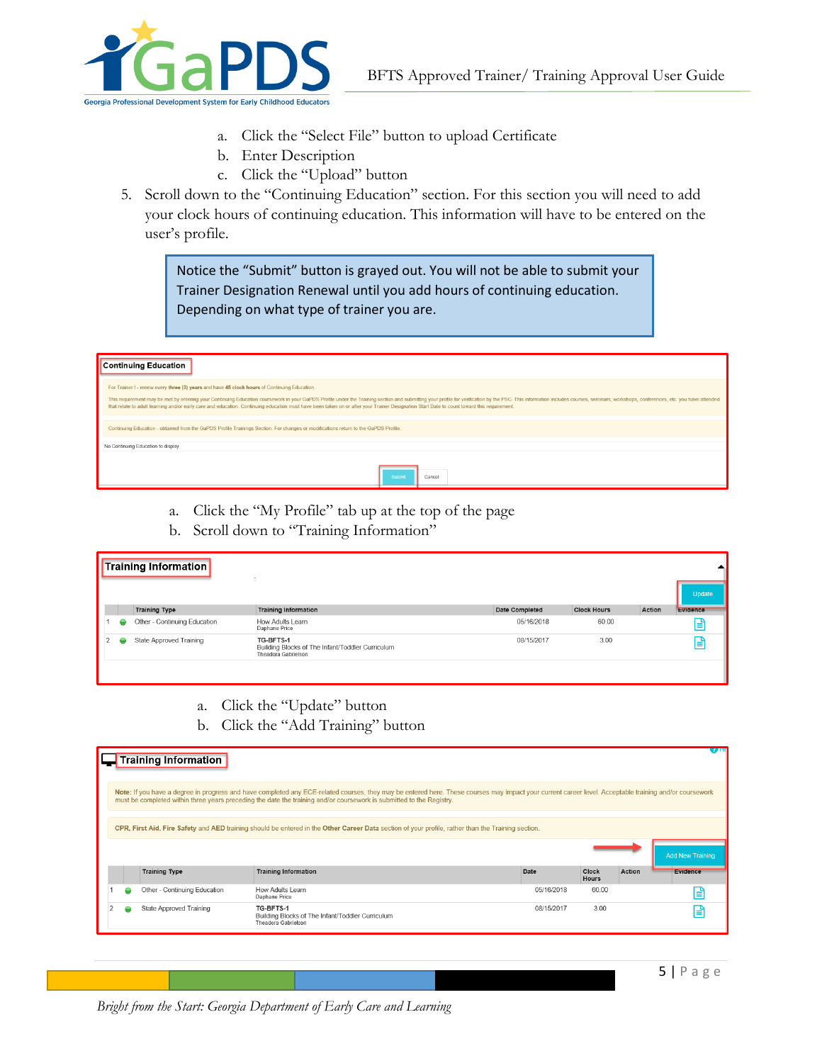

- a. Click the "Select File" button to upload Certificate
- b. Enter Description
- c. Click the "Upload" button
- 5. Scroll down to the "Continuing Education" section. For this section you will need to add your clock hours of continuing education. This information will have to be entered on the user's profile.

Notice the "Submit" button is grayed out. You will not be able to submit your Trainer Designation Renewal until you add hours of continuing education. Depending on what type of trainer you are.

| <b>Continuing Education</b>                                                                                                                                                                                                                                                                                                                                                                                                                                                                                                  |  |  |  |  |  |  |
|------------------------------------------------------------------------------------------------------------------------------------------------------------------------------------------------------------------------------------------------------------------------------------------------------------------------------------------------------------------------------------------------------------------------------------------------------------------------------------------------------------------------------|--|--|--|--|--|--|
| For Trainer I - renew every three (3) years and have 45 clock hours of Continuing Education.<br>This requirement may be met by entering your Continuing Education coursework in your GaPDS Profile under the Training section and submitting your profile for verification by the PSC. This information includes courses, semi<br>that relate to adult learning and/or early care and education. Continuing education must have been taken on or after your Trainer Designation Start Date to count toward this requirement. |  |  |  |  |  |  |
| Continuing Education - obtained from the GaPDS Profile Trainings Section. For changes or modifications return to the GaPDS Profile.                                                                                                                                                                                                                                                                                                                                                                                          |  |  |  |  |  |  |
| No Continuing Education to display                                                                                                                                                                                                                                                                                                                                                                                                                                                                                           |  |  |  |  |  |  |
| Submit<br>Cancel                                                                                                                                                                                                                                                                                                                                                                                                                                                                                                             |  |  |  |  |  |  |

- a. Click the "My Profile" tab up at the top of the page
- b. Scroll down to "Training Information"

|  | <b>Training Information</b>  | ٠                                                                                    |                |                    |        |          |
|--|------------------------------|--------------------------------------------------------------------------------------|----------------|--------------------|--------|----------|
|  |                              |                                                                                      |                |                    |        | Update   |
|  | <b>Training Type</b>         | <b>Training Information</b>                                                          | Date Completed | <b>Clock Hours</b> | Action | Evidence |
|  | Other - Continuing Education | How Adults Learn<br>Daphane Price                                                    | 05/16/2018     | 60.00              |        | l≣i      |
|  | State Approved Training      | TG-BFTS-1<br>Building Blocks of The Infant/Toddler Curriculum<br>Theadora Gabrielson | 08/15/2017     | 3.00               |        | ا≅ا      |
|  |                              |                                                                                      |                |                    |        |          |

- a. Click the "Update" button
- b. Click the "Add Training" button

| CPR, First Aid, Fire Safety and AED training should be entered in the Other Career Data section of your profile, rather than the Training section. |                                |                                                                                             |            |                                                                                                                      |        |                                                                                                                                                                                                        |
|----------------------------------------------------------------------------------------------------------------------------------------------------|--------------------------------|---------------------------------------------------------------------------------------------|------------|----------------------------------------------------------------------------------------------------------------------|--------|--------------------------------------------------------------------------------------------------------------------------------------------------------------------------------------------------------|
|                                                                                                                                                    |                                |                                                                                             |            |                                                                                                                      |        | Add New Training                                                                                                                                                                                       |
|                                                                                                                                                    | <b>Training Type</b>           | <b>Training Information</b>                                                                 | Date       | Clock<br><b>Hours</b>                                                                                                | Action | Evidence                                                                                                                                                                                               |
|                                                                                                                                                    | Other - Continuing Education   | How Adults Learn<br>Daphane Price                                                           | 05/16/2018 | 60.00                                                                                                                |        | E                                                                                                                                                                                                      |
|                                                                                                                                                    | <b>State Approved Training</b> | TG-BFTS-1<br>Building Blocks of The Infant/Toddler Curriculum<br><b>Theadora Gabrielson</b> | 08/15/2017 | 3.00                                                                                                                 |        | Ε                                                                                                                                                                                                      |
|                                                                                                                                                    |                                |                                                                                             |            | must be completed within three years preceding the date the training and/or coursework is submitted to the Registry. |        | Note: If you have a degree in progress and have completed any ECE-related courses, they may be entered here. These courses may impact your current career level. Acceptable training and/or coursework |

*Bright from the Start: Georgia Department of Early Care and Learning*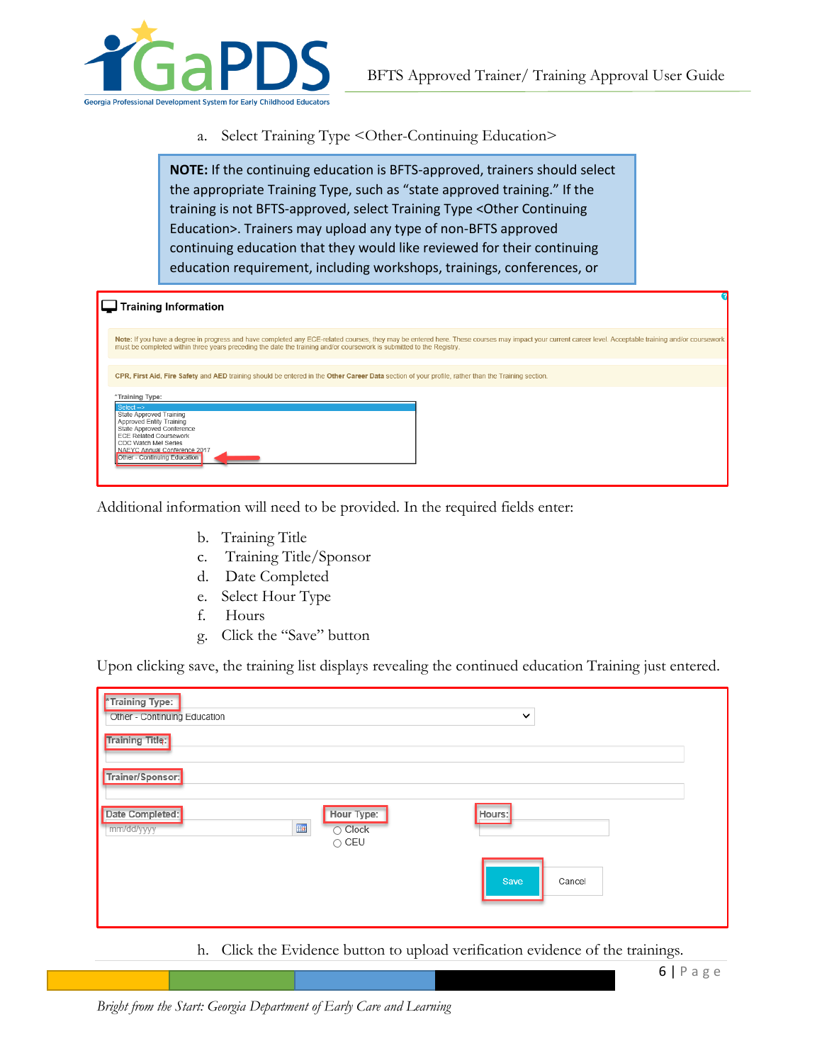

a. Select Training Type <Other-Continuing Education>

**NOTE:** If the continuing education is BFTS-approved, trainers should select the appropriate Training Type, such as "state approved training." If the training is not BFTS-approved, select Training Type <Other Continuing Education>. Trainers may upload any type of non-BFTS approved continuing education that they would like reviewed for their continuing education requirement, including workshops, trainings, conferences, or

| <b>Training Information</b>                                                                                                                                                                                                                                                                                                    |
|--------------------------------------------------------------------------------------------------------------------------------------------------------------------------------------------------------------------------------------------------------------------------------------------------------------------------------|
| Note: If you have a degree in progress and have completed any ECE-related courses, they may be entered here. These courses may impact your current career level. Acceptable training and/or coursework<br>must be completed within three years preceding the date the training and/or coursework is submitted to the Registry. |
|                                                                                                                                                                                                                                                                                                                                |
| CPR, First Aid, Fire Safety and AED training should be entered in the Other Career Data section of your profile, rather than the Training section.                                                                                                                                                                             |
| *Training Type:                                                                                                                                                                                                                                                                                                                |
| Select $\rightarrow$                                                                                                                                                                                                                                                                                                           |
| State Approved Training<br>Approved Entity Training                                                                                                                                                                                                                                                                            |
| State Approved Conference                                                                                                                                                                                                                                                                                                      |
| <b>ECE Related Coursework</b><br>CDC Watch Me! Series                                                                                                                                                                                                                                                                          |
| NAEYC Annual Conference 2017                                                                                                                                                                                                                                                                                                   |
| Other - Continuing Education                                                                                                                                                                                                                                                                                                   |
|                                                                                                                                                                                                                                                                                                                                |
|                                                                                                                                                                                                                                                                                                                                |

Additional information will need to be provided. In the required fields enter:

- b. Training Title
- c. Training Title/Sponsor
- d. Date Completed
- e. Select Hour Type
- f. Hours
- g. Click the "Save" button

Upon clicking save, the training list displays revealing the continued education Training just entered.

| *Training Type:<br>Other - Continuing Education          |                                                  | $\checkmark$   |
|----------------------------------------------------------|--------------------------------------------------|----------------|
| <b>Training Title:</b>                                   |                                                  |                |
| Trainer/Sponsor:                                         |                                                  |                |
| Date Completed:<br>$\overline{\mathbf{H}}$<br>mm/dd/yyyy | Hour Type:<br>$\bigcirc$ Clock<br>$\bigcirc$ CEU | Hours:         |
|                                                          |                                                  | Save<br>Cancel |

h. Click the Evidence button to upload verification evidence of the trainings.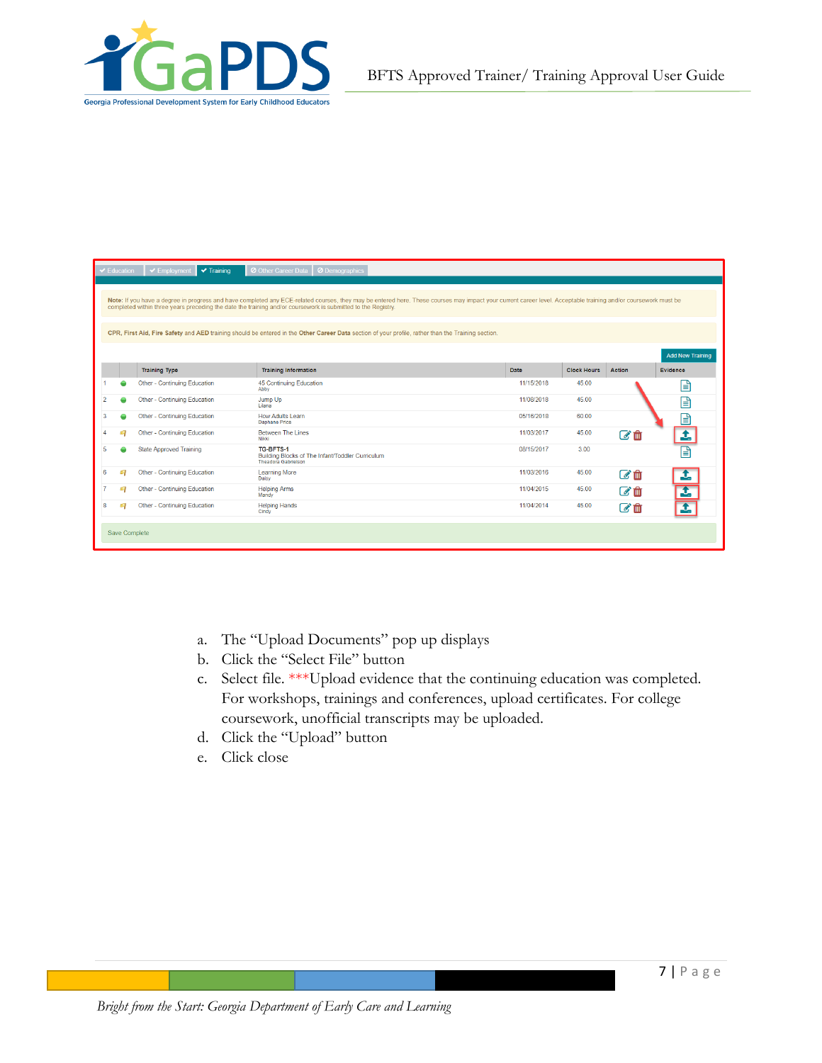

|   | $\blacktriangleright$ Education | $\blacktriangleright$ Training<br>$\blacktriangleright$ Employment | O Other Career Data   O Demographics                                                                                                                                                                                                                                                                                                                                                                                                                                                 |            |                    |        |                         |
|---|---------------------------------|--------------------------------------------------------------------|--------------------------------------------------------------------------------------------------------------------------------------------------------------------------------------------------------------------------------------------------------------------------------------------------------------------------------------------------------------------------------------------------------------------------------------------------------------------------------------|------------|--------------------|--------|-------------------------|
|   |                                 |                                                                    | Note: If you have a degree in progress and have completed any ECE-related courses, they may be entered here. These courses may impact your current career level. Acceptable training and/or coursework must be<br>completed within three years preceding the date the training and/or coursework is submitted to the Registry.<br>CPR, First Aid, Fire Safety and AED training should be entered in the Other Career Data section of your profile, rather than the Training section. |            |                    |        |                         |
|   |                                 |                                                                    |                                                                                                                                                                                                                                                                                                                                                                                                                                                                                      |            |                    |        | <b>Add New Training</b> |
|   |                                 | <b>Training Type</b>                                               | <b>Training Information</b>                                                                                                                                                                                                                                                                                                                                                                                                                                                          | Date       | <b>Clock Hours</b> | Action | Evidence                |
|   |                                 | Other - Continuing Education                                       | 45 Continuing Education<br>Abby                                                                                                                                                                                                                                                                                                                                                                                                                                                      | 11/15/2018 | 45.00              |        | e                       |
| 2 |                                 | Other - Continuing Education                                       | Jump Up<br><b>Lilana</b>                                                                                                                                                                                                                                                                                                                                                                                                                                                             | 11/08/2018 | 45.00              |        | "                       |
| з |                                 | Other - Continuing Education                                       | How Adults Learn<br>Daphane Price                                                                                                                                                                                                                                                                                                                                                                                                                                                    | 05/16/2018 | 60.00              |        | B                       |
|   | Ø,                              | Other - Continuing Education                                       | <b>Between The Lines</b><br><b>Nikki</b>                                                                                                                                                                                                                                                                                                                                                                                                                                             | 11/03/2017 | 45.00              | ☑ 偷    | $\mathbf{t}$            |
| 5 |                                 | <b>State Approved Training</b>                                     | TG-BFTS-1<br>Building Blocks of The Infant/Toddler Curriculum<br><b>Theadora Gabrielson</b>                                                                                                                                                                                                                                                                                                                                                                                          | 08/15/2017 | 3.00               |        | 目                       |
| 6 | q                               | Other - Continuing Education                                       | <b>Learning More</b><br>Daisy                                                                                                                                                                                                                                                                                                                                                                                                                                                        | 11/03/2016 | 45.00              | ■■     | $\overline{\mathbf{t}}$ |
|   | G                               | Other - Continuing Education                                       | <b>Helping Arms</b><br>Mandy                                                                                                                                                                                                                                                                                                                                                                                                                                                         | 11/04/2015 | 45.00              | ■■     | đ,                      |
| R | a C                             | Other - Continuing Education                                       | <b>Helping Hands</b><br>Cindy                                                                                                                                                                                                                                                                                                                                                                                                                                                        | 11/04/2014 | 45.00              | ぴ血     | I                       |
|   | Save Complete                   |                                                                    |                                                                                                                                                                                                                                                                                                                                                                                                                                                                                      |            |                    |        |                         |

- a. The "Upload Documents" pop up displays
- b. Click the "Select File" button
- c. Select file. \*\*\*Upload evidence that the continuing education was completed. For workshops, trainings and conferences, upload certificates. For college coursework, unofficial transcripts may be uploaded.
- d. Click the "Upload" button
- e. Click close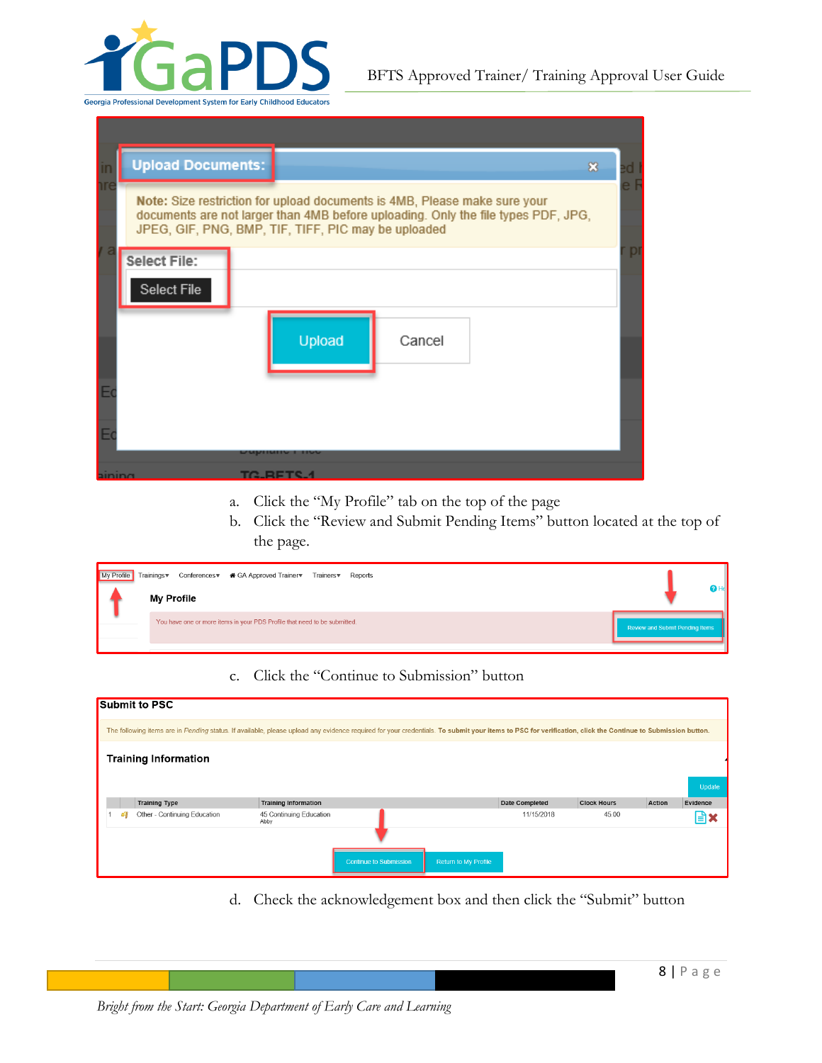

|        | <b>Upload Documents:</b><br>$\infty$                                                                                                                                                                                  |   |
|--------|-----------------------------------------------------------------------------------------------------------------------------------------------------------------------------------------------------------------------|---|
|        | Note: Size restriction for upload documents is 4MB, Please make sure your<br>documents are not larger than 4MB before uploading. Only the file types PDF, JPG,<br>JPEG, GIF, PNG, BMP, TIF, TIFF, PIC may be uploaded |   |
|        | Select File:                                                                                                                                                                                                          | p |
|        | Select File                                                                                                                                                                                                           |   |
|        | Upload<br>Cancel                                                                                                                                                                                                      |   |
|        |                                                                                                                                                                                                                       |   |
|        |                                                                                                                                                                                                                       |   |
| aining | TA BETS                                                                                                                                                                                                               |   |

- a. Click the "My Profile" tab on the top of the page
- b. Click the "Review and Submit Pending Items" button located at the top of the page.

| My Profile Trainings | Conferencesw <a> <b><a> GA Approved Trainerw</a></b> Trainersw Reports<br/><b>My Profile</b></a> |                                 |
|----------------------|--------------------------------------------------------------------------------------------------|---------------------------------|
|                      | You have one or more items in your PDS Profile that need to be submitted.                        | Review and Submit Pending Items |

### c. Click the "Continue to Submission" button

| <b>Submit to PSC</b>                                                                                                                                                                                      |                                 |                               |                      |                |                    |        |          |
|-----------------------------------------------------------------------------------------------------------------------------------------------------------------------------------------------------------|---------------------------------|-------------------------------|----------------------|----------------|--------------------|--------|----------|
| The following items are in Pending status. If available, please upload any evidence required for your credentials. To submit your items to PSC for verification, click the Continue to Submission button. |                                 |                               |                      |                |                    |        |          |
| <b>Training Information</b>                                                                                                                                                                               |                                 |                               |                      |                |                    |        |          |
|                                                                                                                                                                                                           |                                 |                               |                      |                |                    |        |          |
|                                                                                                                                                                                                           |                                 |                               |                      |                |                    |        | Update   |
| <b>Training Type</b>                                                                                                                                                                                      | <b>Training Information</b>     |                               |                      | Date Completed | <b>Clock Hours</b> | Action | Evidence |
| Other - Continuing Education                                                                                                                                                                              | 45 Continuing Education<br>Abby |                               |                      | 11/15/2018     | 45.00              |        | 自        |
|                                                                                                                                                                                                           |                                 |                               |                      |                |                    |        |          |
|                                                                                                                                                                                                           |                                 | <b>Continue to Submission</b> | Return to My Profile |                |                    |        |          |

d. Check the acknowledgement box and then click the "Submit" button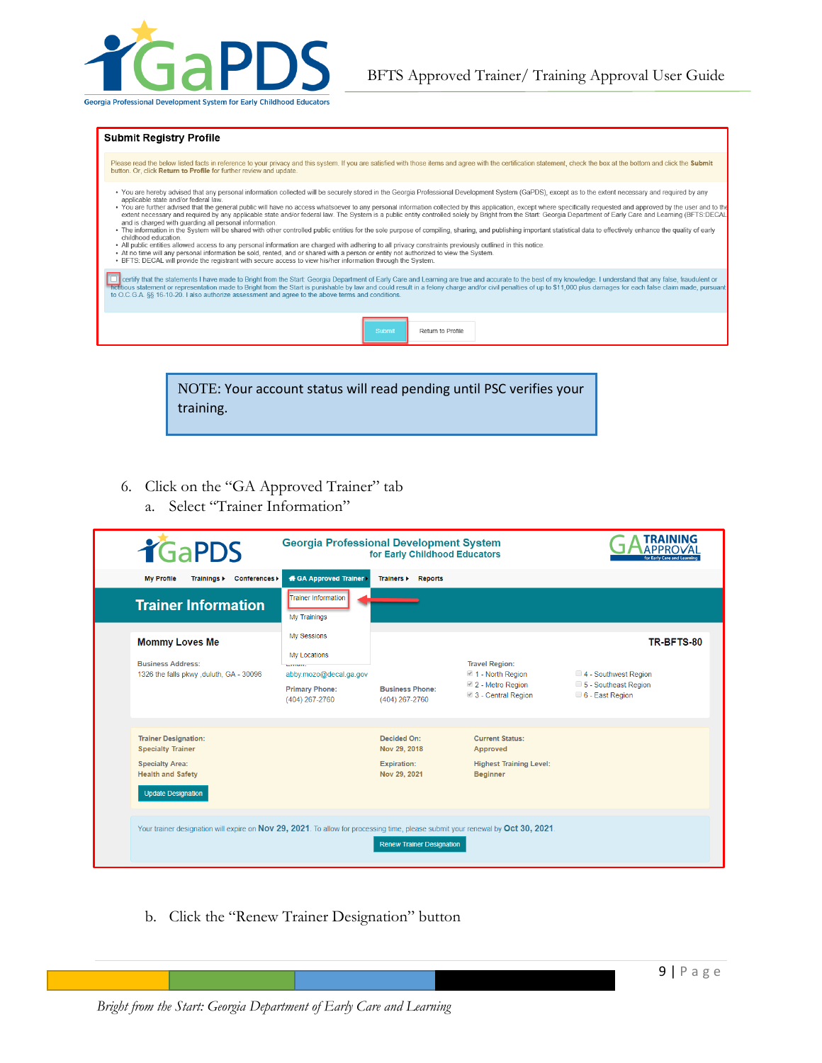

#### **Submit Registry Profile**

Please read the below listed facts in reference to your privacy and this system. If you are satisfied with those items and agree with the certification statement, check the box at the bottom and click the Submit<br>button. Or

- . You are hereby advised that any personal information collected will be securely stored in the Georgia Professional Development System (GaPDS), except as to the extent necessary and required by any
- You are freepy advised mata presentation collected will be securely stored in the Georgia Protessional Development System (GaPDS), except as to the extent necessary and required by any<br>• You are further advised that the
- 
- 
- At no time will any personal information be sold, rented, and or shared with a person or entity not authorized to view the System . BFTS: DECAL will provide the registrant with secure access to view his/her information thr

Cortify that the statements I have made to Bright from the Start: Georgia Department of Early Care and Learning are true and accurate to the best of my knowledge. I understand that any false, fraudulent or<br>Trettious statem



NOTE: Your account status will read pending until PSC verifies your training.

- 6. Click on the "GA Approved Trainer" tab
	- a. Select "Trainer Information"

| <b>TGaPDS</b>                                                                                                                              | <b>Georgia Professional Development System</b>                                                                        | for Early Childhood Educators                                            |                                                                                         | <b>RAINING</b><br>for Early Care and Lean                                     |
|--------------------------------------------------------------------------------------------------------------------------------------------|-----------------------------------------------------------------------------------------------------------------------|--------------------------------------------------------------------------|-----------------------------------------------------------------------------------------|-------------------------------------------------------------------------------|
| <b>My Profile</b><br>Conferences ><br>Trainings >                                                                                          | <b># GA Approved Trainer</b>                                                                                          | Trainers ><br><b>Reports</b>                                             |                                                                                         |                                                                               |
| <b>Trainer Information</b>                                                                                                                 | <b>Trainer Information</b><br>My Trainings                                                                            |                                                                          |                                                                                         |                                                                               |
| <b>Mommy Loves Me</b><br><b>Business Address:</b><br>1326 the falls pkwy , duluth, GA - 30096                                              | My Sessions<br>My Locations<br><b>MATTERSTEN</b><br>abby.mozo@decal.ga.gov<br><b>Primary Phone:</b><br>(404) 267-2760 | <b>Business Phone:</b><br>(404) 267-2760                                 | <b>Travel Region:</b><br>1 - North Region<br>2 - Metro Region<br>3 - Central Region     | TR-BFTS-80<br>4 - Southwest Region<br>5 - Southeast Region<br>6 - East Region |
| <b>Trainer Designation:</b><br><b>Specialty Trainer</b><br><b>Specialty Area:</b><br><b>Health and Safety</b><br><b>Update Designation</b> |                                                                                                                       | <b>Decided On:</b><br>Nov 29, 2018<br><b>Expiration:</b><br>Nov 29, 2021 | <b>Current Status:</b><br>Approved<br><b>Highest Training Level:</b><br><b>Beginner</b> |                                                                               |
| Your trainer designation will expire on Nov 29, 2021. To allow for processing time, please submit your renewal by Oct 30, 2021.            |                                                                                                                       | <b>Renew Trainer Designation</b>                                         |                                                                                         |                                                                               |

b. Click the "Renew Trainer Designation" button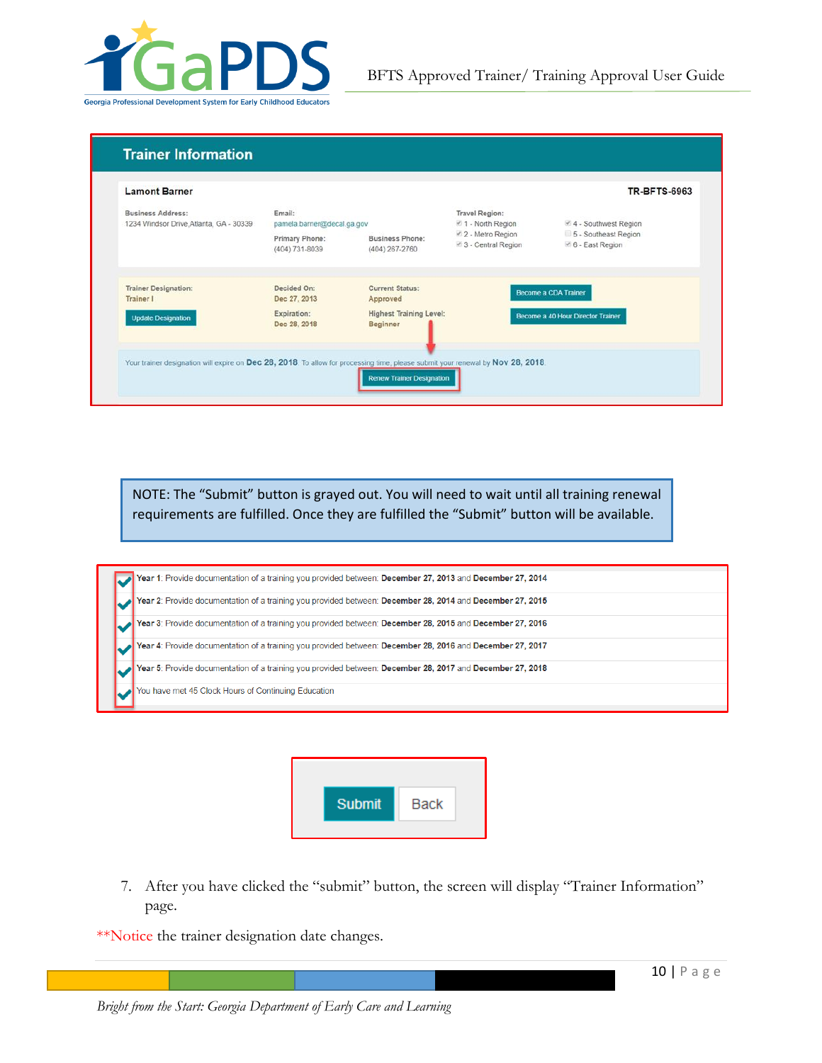

### **Trainer Information**

| Business Address:<br>1234 Windsor Drive, Atlanta, GA - 30339                                                                    | Email:                           | Travel Region:<br>i <sup>2</sup> 1 - North Region<br>pamela.barner@decal.ga.gov |                                          | ₹ 4 - Southwest Region                    |
|---------------------------------------------------------------------------------------------------------------------------------|----------------------------------|---------------------------------------------------------------------------------|------------------------------------------|-------------------------------------------|
|                                                                                                                                 | Primary Phone:<br>(404) 731-8039 | <b>Business Phone:</b><br>(404) 267-2760                                        | ■ 2 - Metro Region<br>3 - Central Region | 5 - Southeast Region<br>₹ 6 - East Region |
| <b>Trainer Designation:</b><br>Trainer I                                                                                        | Decided On:<br>Dec 27, 2013      | Current Status:<br>Approved                                                     |                                          | Become a CDA Trainer                      |
| <b>Update Designation</b>                                                                                                       | Expiration:<br>Dec 28, 2018      | <b>Highest Training Level:</b><br><b>Beginner</b>                               |                                          | Become a 40 Hour Director Trainer         |
| Your trainer designation will expire on Dec 28, 2018. To allow for processing time, please submit your renewal by Nov 28, 2018. |                                  |                                                                                 |                                          |                                           |

NOTE: The "Submit" button is grayed out. You will need to wait until all training renewal requirements are fulfilled. Once they are fulfilled the "Submit" button will be available.

| Year 1: Provide documentation of a training you provided between: December 27, 2013 and December 27, 2014 |
|-----------------------------------------------------------------------------------------------------------|
| Year 2: Provide documentation of a training you provided between: December 28, 2014 and December 27, 2015 |
| Year 3: Provide documentation of a training you provided between: December 28, 2015 and December 27, 2016 |
| Year 4: Provide documentation of a training you provided between: December 28, 2016 and December 27, 2017 |
| Year 5: Provide documentation of a training you provided between: December 28, 2017 and December 27, 2018 |
| You have met 45 Clock Hours of Continuing Education                                                       |



7. After you have clicked the "submit" button, the screen will display "Trainer Information" page.

\*\*Notice the trainer designation date changes.